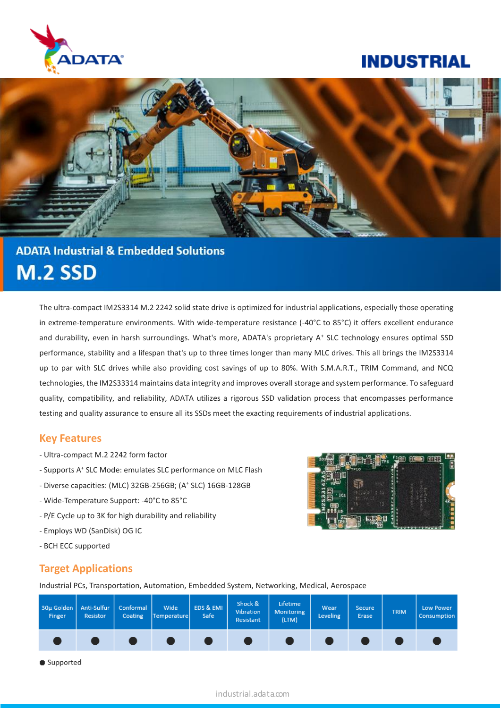

# **INDUSTRIAL**



# **ADATA Industrial & Embedded Solutions M.2 SSD**

The ultra-compact IM2S3314 M.2 2242 solid state drive is optimized for industrial applications, especially those operating in extreme-temperature environments. With wide-temperature resistance (-40°C to 85°C) it offers excellent endurance and durability, even in harsh surroundings. What's more, ADATA's proprietary A<sup>+</sup> SLC technology ensures optimal SSD performance, stability and a lifespan that's up to three times longer than many MLC drives. This all brings the IM2S3314 up to par with SLC drives while also providing cost savings of up to 80%. With S.M.A.R.T., TRIM Command, and NCQ technologies, the IM2S33314 maintains data integrity and improves overall storage and system performance. To safeguard quality, compatibility, and reliability, ADATA utilizes a rigorous SSD validation process that encompasses performance testing and quality assurance to ensure all its SSDs meet the exacting requirements of industrial applications.

### **Key Features**

- Ultra-compact M.2 2242 form factor
- Supports A<sup>+</sup> SLC Mode: emulates SLC performance on MLC Flash
- Diverse capacities: (MLC) 32GB-256GB; (A + SLC) 16GB-128GB
- Wide-Temperature Support: -40°C to 85°C
- P/E Cycle up to 3K for high durability and reliability
- Employs WD (SanDisk) OG IC
- BCH ECC supported

# FARD GREEN OPER

### **Target Applications**

Industrial PCs, Transportation, Automation, Embedded System, Networking, Medical, Aerospace



Supported

### industrial.adata.com